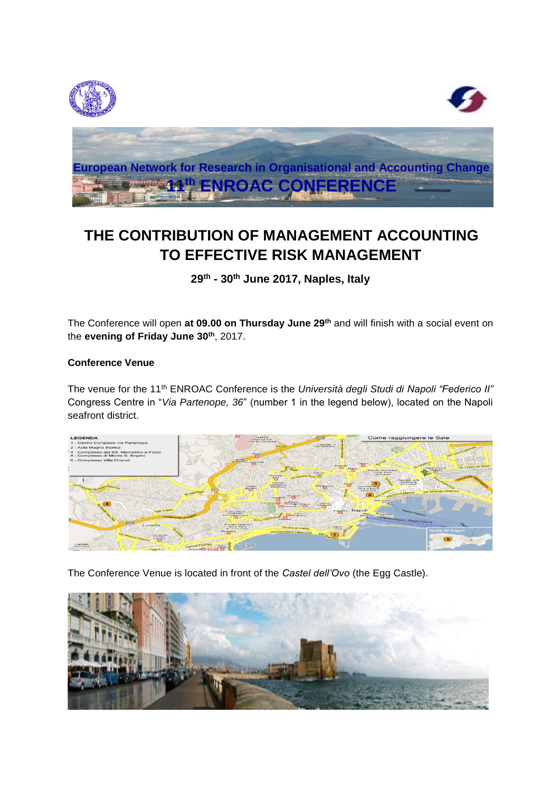

# **THE CONTRIBUTION OF MANAGEMENT ACCOUNTING TO EFFECTIVE RISK MANAGEMENT**

**29th - 30th June 2017, Naples, Italy**

The Conference will open **at 09.00 on Thursday June 29th** and will finish with a social event on the **evening of Friday June 30th**, 2017.

# **Conference Venue**

The venue for the 11th ENROAC Conference is the *Università degli Studi di Napoli "Federico II"* Congress Centre in "*Via Partenope, 36*" (number 1 in the legend below), located on the Napoli seafront district.



The Conference Venue is located in front of the *Castel dell'Ovo* (the Egg Castle).

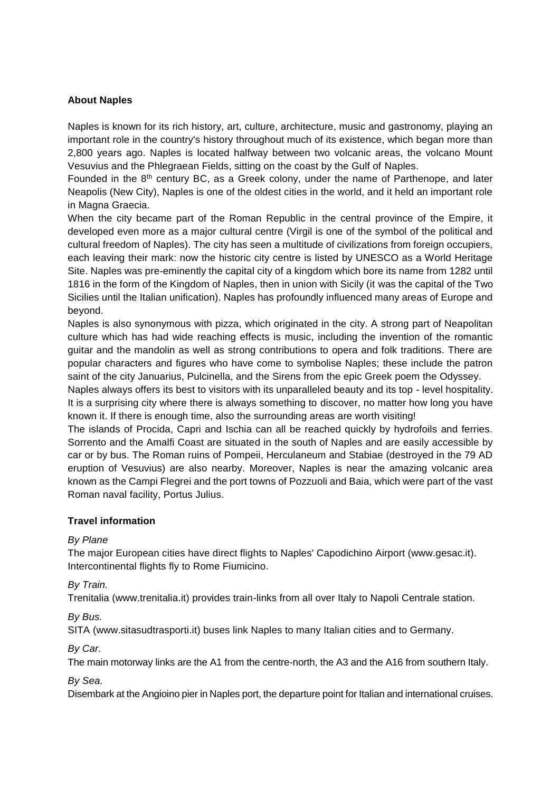## **About Naples**

Naples is known for its rich history, art, culture, architecture, music and gastronomy, playing an important role in the country's history throughout much of its existence, which began more than 2,800 years ago. Naples is located halfway between two volcanic areas, the volcano Mount Vesuvius and the Phlegraean Fields, sitting on the coast by the Gulf of Naples.

Founded in the 8<sup>th</sup> century BC, as a Greek colony, under the name of Parthenope, and later Neapolis (New City), Naples is one of the oldest cities in the world, and it held an important role in Magna Graecia.

When the city became part of the Roman Republic in the central province of the Empire, it developed even more as a major cultural centre (Virgil is one of the symbol of the political and cultural freedom of Naples). The city has seen a multitude of civilizations from foreign occupiers, each leaving their mark: now the historic city centre is listed by UNESCO as a World Heritage Site. Naples was pre-eminently the capital city of a kingdom which bore its name from 1282 until 1816 in the form of the Kingdom of Naples, then in union with Sicily (it was the capital of the Two Sicilies until the Italian unification). Naples has profoundly influenced many areas of Europe and beyond.

Naples is also synonymous with pizza, which originated in the city. A strong part of Neapolitan culture which has had wide reaching effects is music, including the invention of the romantic guitar and the mandolin as well as strong contributions to opera and folk traditions. There are popular characters and figures who have come to symbolise Naples; these include the patron saint of the city Januarius, Pulcinella, and the Sirens from the epic Greek poem the Odyssey.

Naples always offers its best to visitors with its unparalleled beauty and its top - level hospitality. It is a surprising city where there is always something to discover, no matter how long you have known it. If there is enough time, also the surrounding areas are worth visiting!

The islands of Procida, Capri and Ischia can all be reached quickly by hydrofoils and ferries. Sorrento and the Amalfi Coast are situated in the south of Naples and are easily accessible by car or by bus. The Roman ruins of Pompeii, Herculaneum and Stabiae (destroyed in the 79 AD eruption of Vesuvius) are also nearby. Moreover, Naples is near the amazing volcanic area known as the Campi Flegrei and the port towns of Pozzuoli and Baia, which were part of the vast Roman naval facility, Portus Julius.

## **Travel information**

## *By Plane*

The major European cities have direct flights to Naples' Capodichino Airport (www.gesac.it). Intercontinental flights fly to Rome Fiumicino.

## *By Train.*

Trenitalia (www.trenitalia.it) provides train-links from all over Italy to Napoli Centrale station.

## *By Bus.*

SITA (www.sitasudtrasporti.it) buses link Naples to many Italian cities and to Germany.

## *By Car.*

The main motorway links are the A1 from the centre-north, the A3 and the A16 from southern Italy.

## *By Sea.*

Disembark at the Angioino pier in Naples port, the departure point for Italian and international cruises.